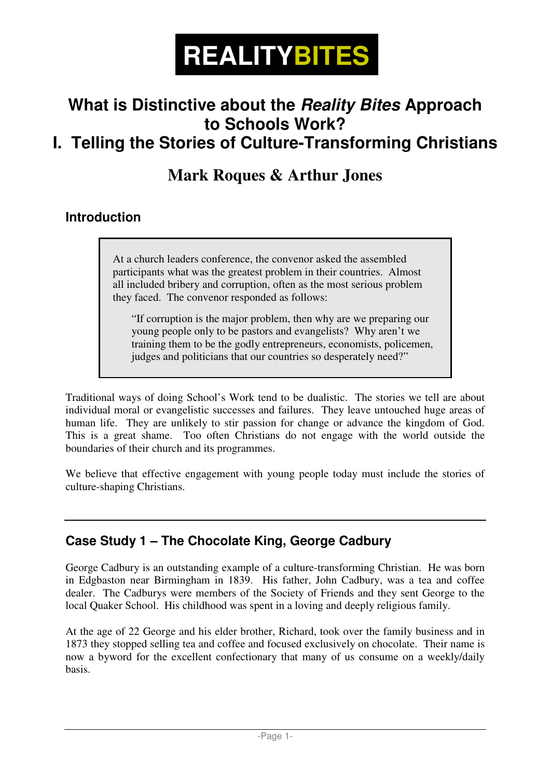

# **What is Distinctive about the Reality Bites Approach to Schools Work?**

## **I. Telling the Stories of Culture-Transforming Christians**

### **Mark Roques & Arthur Jones**

#### **Introduction**

 At a church leaders conference, the convenor asked the assembled participants what was the greatest problem in their countries. Almost all included bribery and corruption, often as the most serious problem they faced. The convenor responded as follows:

 "If corruption is the major problem, then why are we preparing our young people only to be pastors and evangelists? Why aren't we training them to be the godly entrepreneurs, economists, policemen, judges and politicians that our countries so desperately need?"

Traditional ways of doing School's Work tend to be dualistic. The stories we tell are about individual moral or evangelistic successes and failures. They leave untouched huge areas of human life. They are unlikely to stir passion for change or advance the kingdom of God. This is a great shame. Too often Christians do not engage with the world outside the boundaries of their church and its programmes.

We believe that effective engagement with young people today must include the stories of culture-shaping Christians.

#### **Case Study 1 – The Chocolate King, George Cadbury**

George Cadbury is an outstanding example of a culture-transforming Christian. He was born in Edgbaston near Birmingham in 1839. His father, John Cadbury, was a tea and coffee dealer. The Cadburys were members of the Society of Friends and they sent George to the local Quaker School. His childhood was spent in a loving and deeply religious family.

At the age of 22 George and his elder brother, Richard, took over the family business and in 1873 they stopped selling tea and coffee and focused exclusively on chocolate. Their name is now a byword for the excellent confectionary that many of us consume on a weekly/daily basis.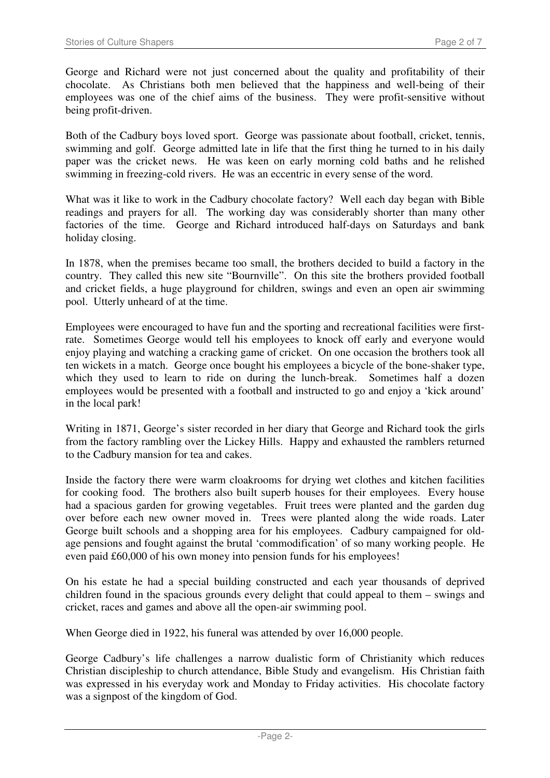George and Richard were not just concerned about the quality and profitability of their chocolate. As Christians both men believed that the happiness and well-being of their employees was one of the chief aims of the business. They were profit-sensitive without being profit-driven.

Both of the Cadbury boys loved sport. George was passionate about football, cricket, tennis, swimming and golf. George admitted late in life that the first thing he turned to in his daily paper was the cricket news. He was keen on early morning cold baths and he relished swimming in freezing-cold rivers. He was an eccentric in every sense of the word.

What was it like to work in the Cadbury chocolate factory? Well each day began with Bible readings and prayers for all. The working day was considerably shorter than many other factories of the time. George and Richard introduced half-days on Saturdays and bank holiday closing.

In 1878, when the premises became too small, the brothers decided to build a factory in the country. They called this new site "Bournville". On this site the brothers provided football and cricket fields, a huge playground for children, swings and even an open air swimming pool. Utterly unheard of at the time.

Employees were encouraged to have fun and the sporting and recreational facilities were firstrate. Sometimes George would tell his employees to knock off early and everyone would enjoy playing and watching a cracking game of cricket. On one occasion the brothers took all ten wickets in a match. George once bought his employees a bicycle of the bone-shaker type, which they used to learn to ride on during the lunch-break. Sometimes half a dozen employees would be presented with a football and instructed to go and enjoy a 'kick around' in the local park!

Writing in 1871, George's sister recorded in her diary that George and Richard took the girls from the factory rambling over the Lickey Hills. Happy and exhausted the ramblers returned to the Cadbury mansion for tea and cakes.

Inside the factory there were warm cloakrooms for drying wet clothes and kitchen facilities for cooking food. The brothers also built superb houses for their employees. Every house had a spacious garden for growing vegetables. Fruit trees were planted and the garden dug over before each new owner moved in. Trees were planted along the wide roads. Later George built schools and a shopping area for his employees. Cadbury campaigned for oldage pensions and fought against the brutal 'commodification' of so many working people. He even paid £60,000 of his own money into pension funds for his employees!

On his estate he had a special building constructed and each year thousands of deprived children found in the spacious grounds every delight that could appeal to them – swings and cricket, races and games and above all the open-air swimming pool.

When George died in 1922, his funeral was attended by over 16,000 people.

George Cadbury's life challenges a narrow dualistic form of Christianity which reduces Christian discipleship to church attendance, Bible Study and evangelism. His Christian faith was expressed in his everyday work and Monday to Friday activities. His chocolate factory was a signpost of the kingdom of God.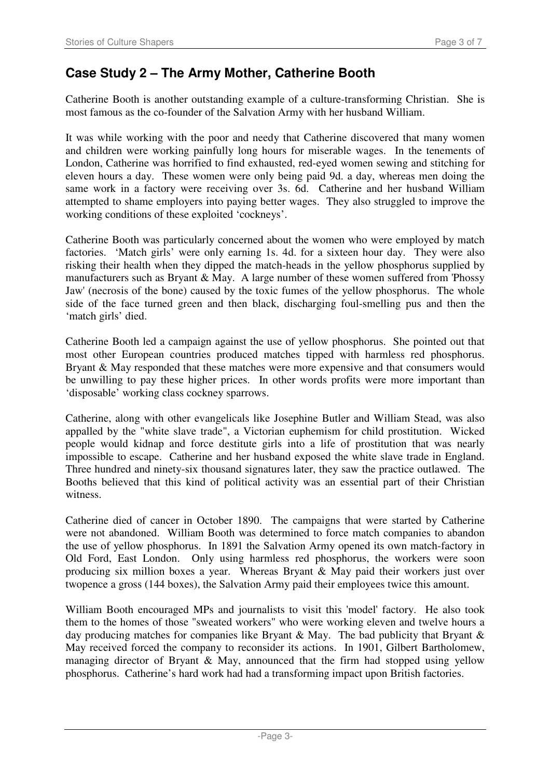#### **Case Study 2 – The Army Mother, Catherine Booth**

Catherine Booth is another outstanding example of a culture-transforming Christian. She is most famous as the co-founder of the Salvation Army with her husband William.

It was while working with the poor and needy that Catherine discovered that many women and children were working painfully long hours for miserable wages. In the tenements of London, Catherine was horrified to find exhausted, red-eyed women sewing and stitching for eleven hours a day. These women were only being paid 9d. a day, whereas men doing the same work in a factory were receiving over 3s. 6d. Catherine and her husband William attempted to shame employers into paying better wages. They also struggled to improve the working conditions of these exploited 'cockneys'.

Catherine Booth was particularly concerned about the women who were employed by match factories. 'Match girls' were only earning 1s. 4d. for a sixteen hour day. They were also risking their health when they dipped the match-heads in the yellow phosphorus supplied by manufacturers such as Bryant & May. A large number of these women suffered from 'Phossy Jaw' (necrosis of the bone) caused by the toxic fumes of the yellow phosphorus. The whole side of the face turned green and then black, discharging foul-smelling pus and then the 'match girls' died.

Catherine Booth led a campaign against the use of yellow phosphorus. She pointed out that most other European countries produced matches tipped with harmless red phosphorus. Bryant & May responded that these matches were more expensive and that consumers would be unwilling to pay these higher prices. In other words profits were more important than 'disposable' working class cockney sparrows.

Catherine, along with other evangelicals like Josephine Butler and William Stead, was also appalled by the "white slave trade", a Victorian euphemism for child prostitution. Wicked people would kidnap and force destitute girls into a life of prostitution that was nearly impossible to escape. Catherine and her husband exposed the white slave trade in England. Three hundred and ninety-six thousand signatures later, they saw the practice outlawed. The Booths believed that this kind of political activity was an essential part of their Christian witness.

Catherine died of cancer in October 1890. The campaigns that were started by Catherine were not abandoned. William Booth was determined to force match companies to abandon the use of yellow phosphorus. In 1891 the Salvation Army opened its own match-factory in Old Ford, East London. Only using harmless red phosphorus, the workers were soon producing six million boxes a year. Whereas Bryant & May paid their workers just over twopence a gross (144 boxes), the Salvation Army paid their employees twice this amount.

William Booth encouraged MPs and journalists to visit this 'model' factory. He also took them to the homes of those "sweated workers" who were working eleven and twelve hours a day producing matches for companies like Bryant & May. The bad publicity that Bryant  $\&$ May received forced the company to reconsider its actions. In 1901, Gilbert Bartholomew, managing director of Bryant  $\&$  May, announced that the firm had stopped using yellow phosphorus. Catherine's hard work had had a transforming impact upon British factories.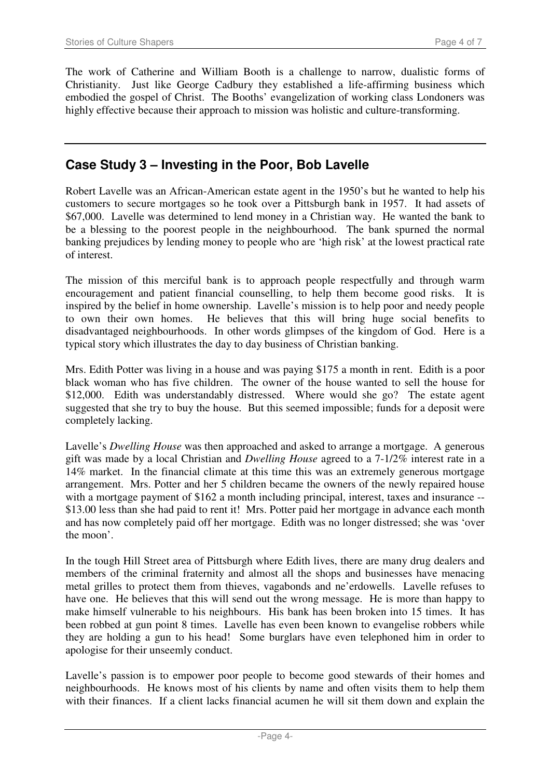The work of Catherine and William Booth is a challenge to narrow, dualistic forms of Christianity. Just like George Cadbury they established a life-affirming business which embodied the gospel of Christ. The Booths' evangelization of working class Londoners was highly effective because their approach to mission was holistic and culture-transforming.

#### **Case Study 3 – Investing in the Poor, Bob Lavelle**

Robert Lavelle was an African-American estate agent in the 1950's but he wanted to help his customers to secure mortgages so he took over a Pittsburgh bank in 1957. It had assets of \$67,000. Lavelle was determined to lend money in a Christian way. He wanted the bank to be a blessing to the poorest people in the neighbourhood. The bank spurned the normal banking prejudices by lending money to people who are 'high risk' at the lowest practical rate of interest.

The mission of this merciful bank is to approach people respectfully and through warm encouragement and patient financial counselling, to help them become good risks. It is inspired by the belief in home ownership. Lavelle's mission is to help poor and needy people to own their own homes. He believes that this will bring huge social benefits to He believes that this will bring huge social benefits to disadvantaged neighbourhoods. In other words glimpses of the kingdom of God. Here is a typical story which illustrates the day to day business of Christian banking.

Mrs. Edith Potter was living in a house and was paying \$175 a month in rent. Edith is a poor black woman who has five children. The owner of the house wanted to sell the house for \$12,000. Edith was understandably distressed. Where would she go? The estate agent suggested that she try to buy the house. But this seemed impossible; funds for a deposit were completely lacking.

Lavelle's *Dwelling House* was then approached and asked to arrange a mortgage. A generous gift was made by a local Christian and *Dwelling House* agreed to a 7-1/2% interest rate in a 14% market. In the financial climate at this time this was an extremely generous mortgage arrangement. Mrs. Potter and her 5 children became the owners of the newly repaired house with a mortgage payment of \$162 a month including principal, interest, taxes and insurance --\$13.00 less than she had paid to rent it! Mrs. Potter paid her mortgage in advance each month and has now completely paid off her mortgage. Edith was no longer distressed; she was 'over the moon'.

In the tough Hill Street area of Pittsburgh where Edith lives, there are many drug dealers and members of the criminal fraternity and almost all the shops and businesses have menacing metal grilles to protect them from thieves, vagabonds and ne'erdowells. Lavelle refuses to have one. He believes that this will send out the wrong message. He is more than happy to make himself vulnerable to his neighbours. His bank has been broken into 15 times. It has been robbed at gun point 8 times. Lavelle has even been known to evangelise robbers while they are holding a gun to his head! Some burglars have even telephoned him in order to apologise for their unseemly conduct.

Lavelle's passion is to empower poor people to become good stewards of their homes and neighbourhoods. He knows most of his clients by name and often visits them to help them with their finances. If a client lacks financial acumen he will sit them down and explain the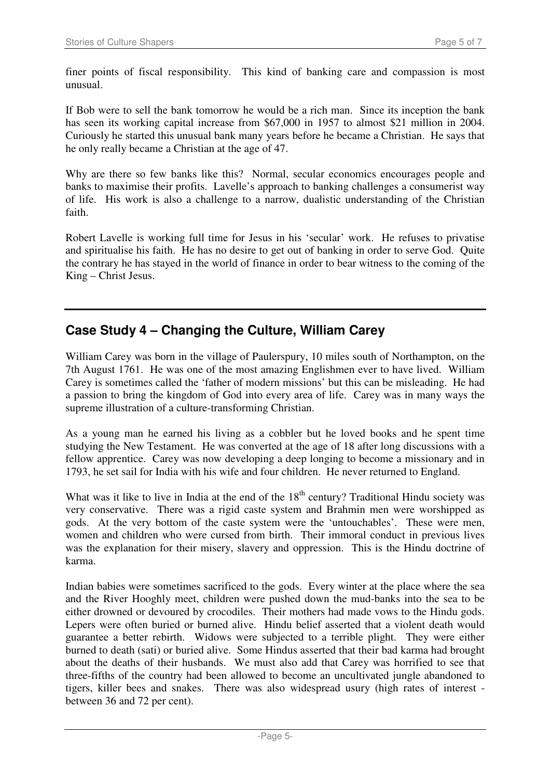finer points of fiscal responsibility. This kind of banking care and compassion is most unusual.

If Bob were to sell the bank tomorrow he would be a rich man. Since its inception the bank has seen its working capital increase from \$67,000 in 1957 to almost \$21 million in 2004. Curiously he started this unusual bank many years before he became a Christian. He says that he only really became a Christian at the age of 47.

Why are there so few banks like this? Normal, secular economics encourages people and banks to maximise their profits. Lavelle's approach to banking challenges a consumerist way of life. His work is also a challenge to a narrow, dualistic understanding of the Christian faith.

Robert Lavelle is working full time for Jesus in his 'secular' work. He refuses to privatise and spiritualise his faith. He has no desire to get out of banking in order to serve God. Quite the contrary he has stayed in the world of finance in order to bear witness to the coming of the King – Christ Jesus.

#### **Case Study 4 – Changing the Culture, William Carey**

William Carey was born in the village of Paulerspury, 10 miles south of Northampton, on the 7th August 1761. He was one of the most amazing Englishmen ever to have lived. William Carey is sometimes called the 'father of modern missions' but this can be misleading. He had a passion to bring the kingdom of God into every area of life. Carey was in many ways the supreme illustration of a culture-transforming Christian.

As a young man he earned his living as a cobbler but he loved books and he spent time studying the New Testament. He was converted at the age of 18 after long discussions with a fellow apprentice. Carey was now developing a deep longing to become a missionary and in 1793, he set sail for India with his wife and four children. He never returned to England.

What was it like to live in India at the end of the  $18<sup>th</sup>$  century? Traditional Hindu society was very conservative. There was a rigid caste system and Brahmin men were worshipped as gods. At the very bottom of the caste system were the 'untouchables'. These were men, women and children who were cursed from birth. Their immoral conduct in previous lives was the explanation for their misery, slavery and oppression. This is the Hindu doctrine of karma.

Indian babies were sometimes sacrificed to the gods. Every winter at the place where the sea and the River Hooghly meet, children were pushed down the mud-banks into the sea to be either drowned or devoured by crocodiles. Their mothers had made vows to the Hindu gods. Lepers were often buried or burned alive. Hindu belief asserted that a violent death would guarantee a better rebirth. Widows were subjected to a terrible plight. They were either burned to death (sati) or buried alive. Some Hindus asserted that their bad karma had brought about the deaths of their husbands. We must also add that Carey was horrified to see that three-fifths of the country had been allowed to become an uncultivated jungle abandoned to tigers, killer bees and snakes. There was also widespread usury (high rates of interest between 36 and 72 per cent).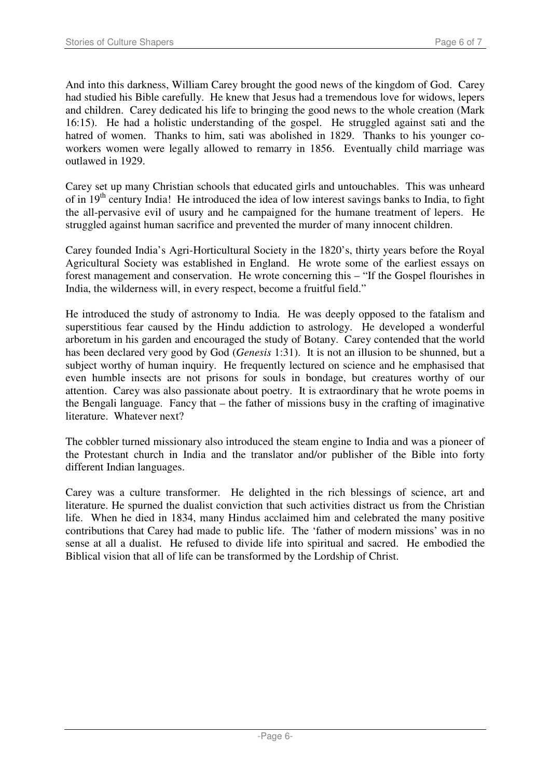And into this darkness, William Carey brought the good news of the kingdom of God. Carey had studied his Bible carefully. He knew that Jesus had a tremendous love for widows, lepers and children. Carey dedicated his life to bringing the good news to the whole creation (Mark 16:15). He had a holistic understanding of the gospel. He struggled against sati and the hatred of women. Thanks to him, sati was abolished in 1829. Thanks to his younger coworkers women were legally allowed to remarry in 1856. Eventually child marriage was outlawed in 1929.

Carey set up many Christian schools that educated girls and untouchables. This was unheard of in  $19<sup>th</sup>$  century India! He introduced the idea of low interest savings banks to India, to fight the all-pervasive evil of usury and he campaigned for the humane treatment of lepers. He struggled against human sacrifice and prevented the murder of many innocent children.

Carey founded India's Agri-Horticultural Society in the 1820's, thirty years before the Royal Agricultural Society was established in England. He wrote some of the earliest essays on forest management and conservation. He wrote concerning this – "If the Gospel flourishes in India, the wilderness will, in every respect, become a fruitful field."

He introduced the study of astronomy to India. He was deeply opposed to the fatalism and superstitious fear caused by the Hindu addiction to astrology. He developed a wonderful arboretum in his garden and encouraged the study of Botany. Carey contended that the world has been declared very good by God (*Genesis* 1:31). It is not an illusion to be shunned, but a subject worthy of human inquiry. He frequently lectured on science and he emphasised that even humble insects are not prisons for souls in bondage, but creatures worthy of our attention. Carey was also passionate about poetry. It is extraordinary that he wrote poems in the Bengali language. Fancy that – the father of missions busy in the crafting of imaginative literature. Whatever next?

The cobbler turned missionary also introduced the steam engine to India and was a pioneer of the Protestant church in India and the translator and/or publisher of the Bible into forty different Indian languages.

Carey was a culture transformer. He delighted in the rich blessings of science, art and literature. He spurned the dualist conviction that such activities distract us from the Christian life. When he died in 1834, many Hindus acclaimed him and celebrated the many positive contributions that Carey had made to public life. The 'father of modern missions' was in no sense at all a dualist. He refused to divide life into spiritual and sacred. He embodied the Biblical vision that all of life can be transformed by the Lordship of Christ.